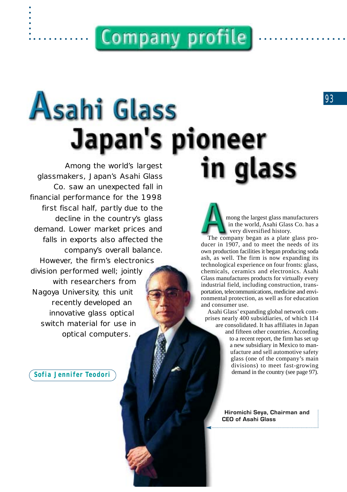# **Company profile**

# Asahi Glass Japan's pioneer in qlass

*Among the world's largest glassmakers, Japan's Asahi Glass Co. saw an unexpected fall in financial performance for the 1998 first fiscal half, partly due to the decline in the country's glass demand. Lower market prices and falls in exports also affected the company's overall balance. However, the firm's electronics division performed well; jointly with researchers from Nagoya University, this unit recently developed an innovative glass optical switch material for use in optical computers.* 

*Sofia Jennifer Teodori*

mong the largest glass manufacturers in the world, Asahi Glass Co. has a very diversified history.

The company began as a plate glass producer in 1907, and to meet the needs of its own production facilities it began producing soda ash, as well. The firm is now expanding its technological experience on four fronts: glass, chemicals, ceramics and electronics. Asahi Glass manufactures products for virtually every industrial field, including construction, transportation, telecommunications, medicine and environmental protection, as well as for education and consumer use.

Asahi Glass' expanding global network comprises nearly 400 subsidiaries, of which 114 are consolidated. It has affiliates in Japan and fifteen other countries. According to a recent report, the firm has set up a new subsidiary in Mexico to manufacture and sell automotive safety glass (one of the company's main divisions) to meet fast-growing demand in the country (see page 97).

> **Hiromichi Seya, Chairman and CEO of Asahi Glass**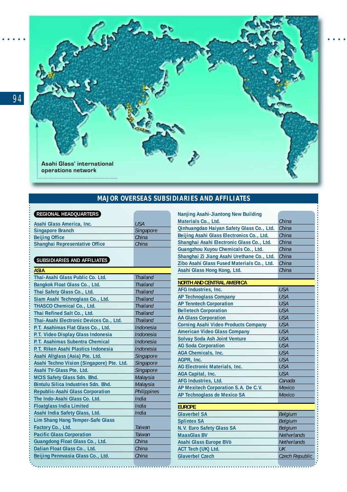

### **MAJOR OVERSEAS SUBSIDIARIES AND AFFILIATES**

### **REGIONAL HEADQUARTERS**

| Asahi Glass America, Inc.             | <b>USA</b> |
|---------------------------------------|------------|
| <b>Singapore Branch</b>               | Singapore  |
| <b>Beijing Office</b>                 | China      |
| <b>Shanghai Representative Office</b> | China      |

### **SUBSIDIARIES AND AFFILIATES**

| <b>Thailand</b><br><b>Thailand</b><br><b>Thailand</b><br><b>Thailand</b><br><b>Thailand</b> | Asahi Glass Hong Kong, Ltd.<br><b>NORTH AND CENTRAL AMERICA</b><br>AFG Industries, Inc.<br><b>AP Technoglass Company</b><br><b>AP Tenntech Corporation</b> |
|---------------------------------------------------------------------------------------------|------------------------------------------------------------------------------------------------------------------------------------------------------------|
|                                                                                             |                                                                                                                                                            |
|                                                                                             |                                                                                                                                                            |
|                                                                                             |                                                                                                                                                            |
|                                                                                             |                                                                                                                                                            |
|                                                                                             |                                                                                                                                                            |
|                                                                                             |                                                                                                                                                            |
|                                                                                             | <b>Belletech Corporation</b>                                                                                                                               |
| <b>Thailand</b>                                                                             | <b>AA Glass Corporation</b>                                                                                                                                |
| Indonesia                                                                                   | <b>Corning Asahi Video Products Company</b>                                                                                                                |
| Indonesia                                                                                   | <b>American Video Glass Company</b>                                                                                                                        |
| Indonesia                                                                                   | <b>Solvay Soda Ash Joint Venture</b>                                                                                                                       |
| Indonesia                                                                                   | <b>AG Soda Corporation</b>                                                                                                                                 |
|                                                                                             | <b>AGA Chemicals, Inc.</b>                                                                                                                                 |
|                                                                                             | AGPR, Inc.                                                                                                                                                 |
|                                                                                             | AG Electronic Materials, Inc.                                                                                                                              |
|                                                                                             | AGA Capital, Inc.                                                                                                                                          |
|                                                                                             | AFG Industries, Ltd.                                                                                                                                       |
|                                                                                             | AP Mexitech Corporation S.A. De C.V.                                                                                                                       |
|                                                                                             | AP Technoglass de Mexico SA                                                                                                                                |
| India                                                                                       | <b>EUROPE</b>                                                                                                                                              |
| India                                                                                       | <b>Glaverbel SA</b>                                                                                                                                        |
|                                                                                             | <b>Splintex SA</b>                                                                                                                                         |
| Taiwan                                                                                      | N.V. Euro Safety Glass SA                                                                                                                                  |
|                                                                                             | <b>MaasGlas BV</b>                                                                                                                                         |
| China                                                                                       | Asahi Glass Europe BVò                                                                                                                                     |
| China                                                                                       | ACT Tech (UK) Ltd.                                                                                                                                         |
| China                                                                                       | <b>Glaverbel Czech</b>                                                                                                                                     |
|                                                                                             |                                                                                                                                                            |
|                                                                                             | <b>Thailand</b><br>Singapore<br>Singapore<br>Singapore<br>Malaysia<br>Malaysia<br>Philippines<br>India<br>Taiwan                                           |

| Nanjing Asahi-Jiantong New Building         |                    |
|---------------------------------------------|--------------------|
| Materials Co., Ltd.                         | China              |
| Qinhuangdao Haiyan Safety Glass Co., Ltd.   | China              |
| Beijing Asahi Glass Electronics Co., Ltd.   | China              |
| Shanghai Asahi Electronic Glass Co., Ltd.   | China              |
| Guangzhou Xuyou Chemicals Co., Ltd.         | China              |
| Shanghai Zi Jiang Asahi Urethane Co., Ltd.  | China              |
| Zibo Asahi Glass Fused Materials Co., Ltd.  | China              |
| Asahi Glass Hong Kong, Ltd.                 | China              |
|                                             |                    |
| NORTH AND CENTRAL AMERICA                   |                    |
| AFG Industries, Inc.                        | <b>USA</b>         |
| AP Technoglass Company                      | <b>USA</b>         |
| <b>AP Tenntech Corporation</b>              | <b>USA</b>         |
| <b>Belletech Corporation</b>                | <b>USA</b>         |
| AA Glass Corporation                        | <b>USA</b>         |
| <b>Corning Asahi Video Products Company</b> | <b>USA</b>         |
| <b>American Video Glass Company</b>         | <b>USA</b>         |
| Solvay Soda Ash Joint Venture               | <b>USA</b>         |
| <b>AG Soda Corporation</b>                  | <b>USA</b>         |
| AGA Chemicals, Inc.                         | <b>USA</b>         |
| AGPR, Inc.                                  | <b>USA</b>         |
| AG Electronic Materials, Inc.               | <b>USA</b>         |
| AGA Capital, Inc.                           | <b>USA</b>         |
| AFG Industries, Ltd.                        | Canada             |
| AP Mexitech Corporation S.A. De C.V.        | Mexico             |
| AP Technoglass de Mexico SA                 | Mexico             |
|                                             |                    |
| <b>EUROPE</b>                               |                    |
| <b>Glaverbel SA</b>                         | Belgium            |
| <b>Splintex SA</b>                          | Belgium            |
| N.V. Euro Safety Glass SA                   | Belgium            |
| <b>MaasGlas BV</b>                          | <b>Netherlands</b> |
| Asahi Glass Europe BVò                      | Netherlands        |
| ACT Tech (UK) Ltd.                          | UK                 |
| <b>Glaverbel Czech</b>                      | Czech Republic     |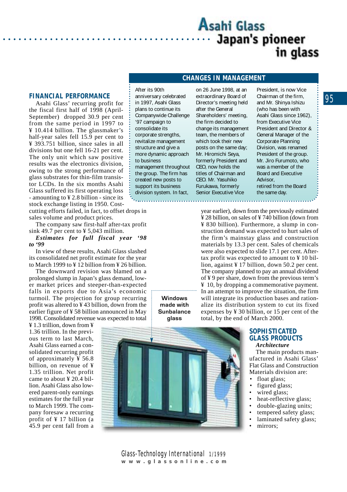### Asahi Glass Japan's pioneer in glass

### **FINANCIAL PERFORMANCE**

Asahi Glass' recurring profit for the fiscal first half of 1998 (April-September) dropped 30.9 per cent from the same period in 1997 to ¥ 10.414 billion. The glassmaker's half-year sales fell 15.9 per cent to ¥ 393.751 billion, since sales in all divisions but one fell 16-21 per cent. The only unit which saw positive results was the electronics division, owing to the strong performance of glass substrates for thin-film transistor LCDs. In the six months Asahi Glass suffered its first operating loss - amounting to ¥ 2.8 billion - since its stock exchange listing in 1950. Costcutting efforts failed, in fact, to offset drops in

sales volume and product prices.

The company saw first-half after-tax profit sink 49.7 per cent to  $\frac{1}{2}$  5,043 million.

*Estimates for full fiscal year '98 to '99*

In view of these results, Asahi Glass slashed its consolidated net profit estimate for the year to March 1999 to  $\angle$  12 billion from  $\angle$  26 billion.

The downward revision was blamed on a prolonged slump in Japan's glass demand, lower market prices and steeper-than-expected falls in exports due to Asia's economic turmoil. The projection for group recurring profit was altered to ¥ 43 billion, down from the earlier figure of ¥ 58 billion announced in May 1998. Consolidated revenue was expected to total

¥ 1.3 trillion, down from ¥ 1.36 trillion. In the previous term to last March, Asahi Glass earned a consolidated recurring profit of approximately ¥ 56.8 billion, on revenue of ¥ 1.35 trillion. Net profit came to about ¥ 20.4 billion. Asahi Glass also lowered parent-only earnings estimates for the full year to March 1999. The company foresaw a recurring profit of ¥ 17 billion (a 45.9 per cent fall from a After its 90th anniversary celebrated in 1997, Asahi Glass plans to continue its Companywide Challenge '97 campaign to consolidate its corporate strengths, revitalize management structure and give a more dynamic approach to business management throughout the group. The firm has created new posts to support its business division system. In fact,

> **Windows made with Sunbalance glass**



on 26 June 1998, at an extraordinary Board of Director's meeting held after the General Shareholders' meeting, the firm decided to change its management team, the members of which took their new posts on the same day; Mr. Hiromichi Seya, formerly President and CEO, now holds the titles of Chairman and CEO. Mr. Yasuhiko Furukawa, formerly Senior Executive Vice

**CHANGES IN MANAGEMENT**

President, is now Vice Chairman of the firm, and Mr. Shinya Ishizu (who has been with Asahi Glass since 1962), from Executive Vice President and Director & General Manager of the Corporate Planning Division, was renamed President of the group. Mr. Jiro Furumoto, who was a member of the Board and Executive Advisor, retired from the Board the same day.

year earlier), down from the previously estimated ¥ 28 billion, on sales of ¥ 740 billion (down from ¥ 830 billion). Furthermore, a slump in construction demand was expected to hurt sales of the firm's mainstay glass and construction materials by 13.3 per cent. Sales of chemicals were also expected to slide 17.1 per cent. Aftertax profit was expected to amount to ¥ 10 billion, against ¥ 17 billion, down 50.2 per cent. The company planned to pay an annual dividend of ¥ 9 per share, down from the previous term's ¥ 10, by dropping a commemorative payment. In an attempt to improve the situation, the firm will integrate its production bases and rationalize its distribution system to cut its fixed expenses by ¥ 30 billion, or 15 per cent of the total, by the end of March 2000.

#### **SOPHISTICATED GLASS PRODUCTS** *Architecture*

The main products manufactured in Asahi Glass' Flat Glass and Construction Materials division are:

- float glass;
- figured glass;
- wired glass;
- heat-reflective glass;
- double-glazing units;
- tempered safety glass;
- laminated safety glass:
- mirrors: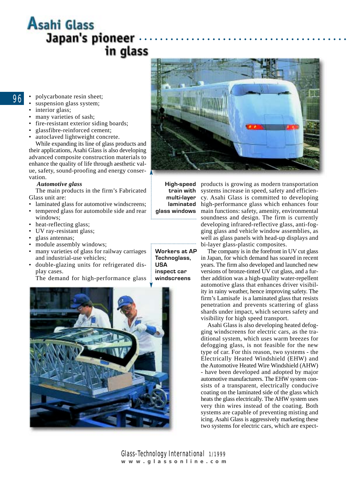### **Asahi Glass** Japan's pioneer . in glass

- 96
- polycarbonate resin sheet;
- suspension glass system;
- interior glass;
- many varieties of sash;
- fire-resistant exterior siding boards;
- glassfibre-reinforced cement;
- autoclaved lightweight concrete.

While expanding its line of glass products and their applications, Asahi Glass is also developing advanced composite construction materials to enhance the quality of life through aesthetic value, safety, sound-proofing and energy conservation.

#### *Automotive glass*

The main products in the firm's Fabricated Glass unit are:

- laminated glass for automotive windscreens;
- tempered glass for automobile side and rear
- windows; heat-reflecting glass;
- UV ray-resistant glass;
- glass antennas;
- module assembly windows;
- many varieties of glass for railway carriages and industrial-use vehicles;
- double-glazing units for refrigerated display cases.

The demand for high-performance glass





**High-speed** 

**Workers at AP Technoglass,**

**inspect car windscreens**

**USA** 

train with systems increase in speed, safety and efficienmulti-layer cy. Asahi Glass is committed to developing laminated high-performance glass which enhances four glass windows main functions: safety, amenity, environmental soundness and design. The firm is currently developing infrared-reflective glass, anti-fogging glass and vehicle window assemblies, as well as glass panels with head-up displays and bi-layer glass-plastic composites.

products is growing as modern transportation

The company is in the forefront in UV cut glass in Japan, for which demand has soared in recent years. The firm also developed and launched new versions of bronze-tinted UV cut glass, and a further addition was a high-quality water-repellent automotive glass that enhances driver visibility in rainy weather, hence improving safety. The firm's Lamisafe is a laminated glass that resists penetration and prevents scattering of glass shards under impact, which secures safety and visibility for high speed transport.

Asahi Glass is also developing heated defogging windscreens for electric cars, as the traditional system, which uses warm breezes for defogging glass, is not feasible for the new type of car. For this reason, two systems - the Electrically Heated Windshield (EHW) and the Automotive Heated Wire Windshield (AHW) - have been developed and adopted by major automotive manufacturers. The EHW system consists of a transparent, electrically conducive coating on the laminated side of the glass which heats the glass electrically. The AHW system uses very thin wires instead of the coating. Both systems are capable of preventing misting and icing. Asahi Glass is aggressively marketing these two systems for electric cars, which are expect-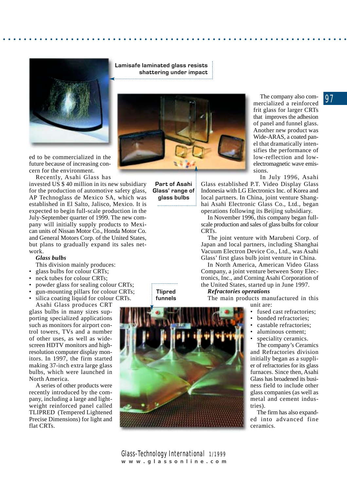

ed to be commercialized in the future because of increasing concern for the environment.

Recently, Asahi Glass has

invested US \$ 40 million in its new subsidiary for the production of automotive safety glass, AP Technoglass de Mexico SA, which was established in El Salto, Jalisco, Mexico. It is expected to begin full-scale production in the July-September quarter of 1999. The new company will initially supply products to Mexican units of Nissan Motor Co., Honda Motor Co. and General Motors Corp. of the United States, but plans to gradually expand its sales network.

#### *Glass bulbs*

This division mainly produces:

- glass bulbs for colour CRTs;
- neck tubes for colour CRTs;
- powder glass for sealing colour CRTs;
- gun-mounting pillars for colour CRTs;
- silica coating liquid for colour CRTs. Asahi Glass produces CRT

glass bulbs in many sizes supporting specialized applications such as monitors for airport control towers, TVs and a number of other uses, as well as widescreen HDTV monitors and highresolution computer display monitors. In 1997, the firm started making 37-inch extra large glass bulbs, which were launched in North America.

A series of other products were recently introduced by the company, including a large and lightweight reinforced panel called TLIPRED (Tempered Lightened Precise Dimensions) for light and flat CRTs.

**Tlipred funnels**



**Lamisafe laminated glass resists shattering under impact**



**Part of Asahi Glass' range of glass bulbs**

The company also commercialized a reinforced frit glass for larger CRTs that improves the adhesion of panel and funnel glass. Another new product was Wide-ARAS, a coated panel that dramatically intensifies the performance of low-reflection and lowelectromagnetic wave emissions.

In July 1996, Asahi

Glass established P.T. Video Display Glass Indonesia with LG Electronics Inc. of Korea and local partners. In China, joint venture Shanghai Asahi Electronic Glass Co., Ltd., began operations following its Beijing subsidiary.

In November 1996, this company began fullscale production and sales of glass bulbs for colour CRTs.

The joint venture with Marubeni Corp. of Japan and local partners, including Shanghai Vacuum Electron Device Co., Ltd., was Asahi Glass' first glass bulb joint venture in China.

In North America, American Video Glass Company, a joint venture between Sony Electronics, Inc., and Corning Asahi Corporation of the United States, started up in June 1997.

#### *Refractories operations*

The main products manufactured in this

- unit are:
- fused cast refractories:
- bonded refractories;
- castable refractories;
- aluminous cement;

speciality ceramics. The company's Ceramics and Refractories division initially began as a supplier of refractories for its glass furnaces. Since then, Asahi Glass has broadened its business field to include other glass companies (as well as metal and cement industries).

The firm has also expanded into advanced fine ceramics.